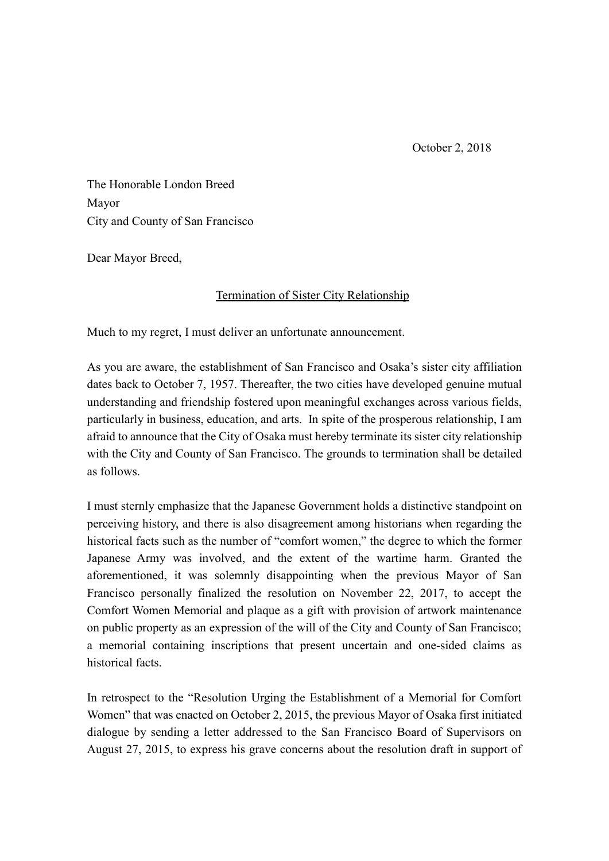October 2, 2018

The Honorable London Breed Mayor City and County of San Francisco

Dear Mayor Breed,

#### Termination of Sister City Relationship

Much to my regret, I must deliver an unfortunate announcement.

As you are aware, the establishment of San Francisco and Osaka's sister city affiliation dates back to October 7, 1957. Thereafter, the two cities have developed genuine mutual understanding and friendship fostered upon meaningful exchanges across various fields, particularly in business, education, and arts. In spite of the prosperous relationship, I am afraid to announce that the City of Osaka must hereby terminate its sister city relationship with the City and County of San Francisco. The grounds to termination shall be detailed as follows.

I must sternly emphasize that the Japanese Government holds a distinctive standpoint on perceiving history, and there is also disagreement among historians when regarding the historical facts such as the number of "comfort women," the degree to which the former Japanese Army was involved, and the extent of the wartime harm. Granted the aforementioned, it was solemnly disappointing when the previous Mayor of San Francisco personally finalized the resolution on November 22, 2017, to accept the Comfort Women Memorial and plaque as a gift with provision of artwork maintenance on public property as an expression of the will of the City and County of San Francisco; a memorial containing inscriptions that present uncertain and one-sided claims as historical facts.

In retrospect to the "Resolution Urging the Establishment of a Memorial for Comfort Women" that was enacted on October 2, 2015, the previous Mayor of Osaka first initiated dialogue by sending a letter addressed to the San Francisco Board of Supervisors on August 27, 2015, to express his grave concerns about the resolution draft in support of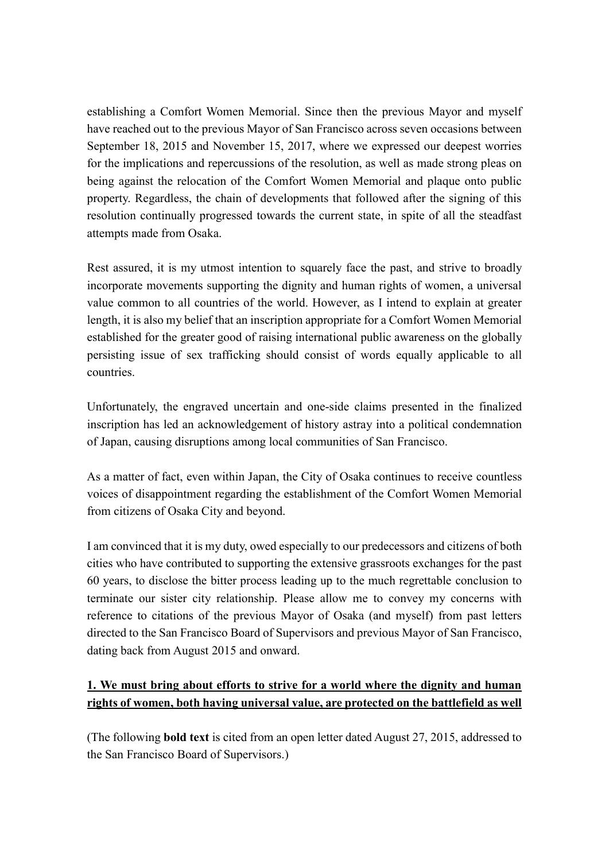establishing a Comfort Women Memorial. Since then the previous Mayor and myself have reached out to the previous Mayor of San Francisco across seven occasions between September 18, 2015 and November 15, 2017, where we expressed our deepest worries for the implications and repercussions of the resolution, as well as made strong pleas on being against the relocation of the Comfort Women Memorial and plaque onto public property. Regardless, the chain of developments that followed after the signing of this resolution continually progressed towards the current state, in spite of all the steadfast attempts made from Osaka.

Rest assured, it is my utmost intention to squarely face the past, and strive to broadly incorporate movements supporting the dignity and human rights of women, a universal value common to all countries of the world. However, as I intend to explain at greater length, it is also my belief that an inscription appropriate for a Comfort Women Memorial established for the greater good of raising international public awareness on the globally persisting issue of sex trafficking should consist of words equally applicable to all countries.

Unfortunately, the engraved uncertain and one-side claims presented in the finalized inscription has led an acknowledgement of history astray into a political condemnation of Japan, causing disruptions among local communities of San Francisco.

As a matter of fact, even within Japan, the City of Osaka continues to receive countless voices of disappointment regarding the establishment of the Comfort Women Memorial from citizens of Osaka City and beyond.

I am convinced that it is my duty, owed especially to our predecessors and citizens of both cities who have contributed to supporting the extensive grassroots exchanges for the past 60 years, to disclose the bitter process leading up to the much regrettable conclusion to terminate our sister city relationship. Please allow me to convey my concerns with reference to citations of the previous Mayor of Osaka (and myself) from past letters directed to the San Francisco Board of Supervisors and previous Mayor of San Francisco, dating back from August 2015 and onward.

# **1. We must bring about efforts to strive for a world where the dignity and human rights of women, both having universal value, are protected on the battlefield as well**

(The following **bold text** is cited from an open letter dated August 27, 2015, addressed to the San Francisco Board of Supervisors.)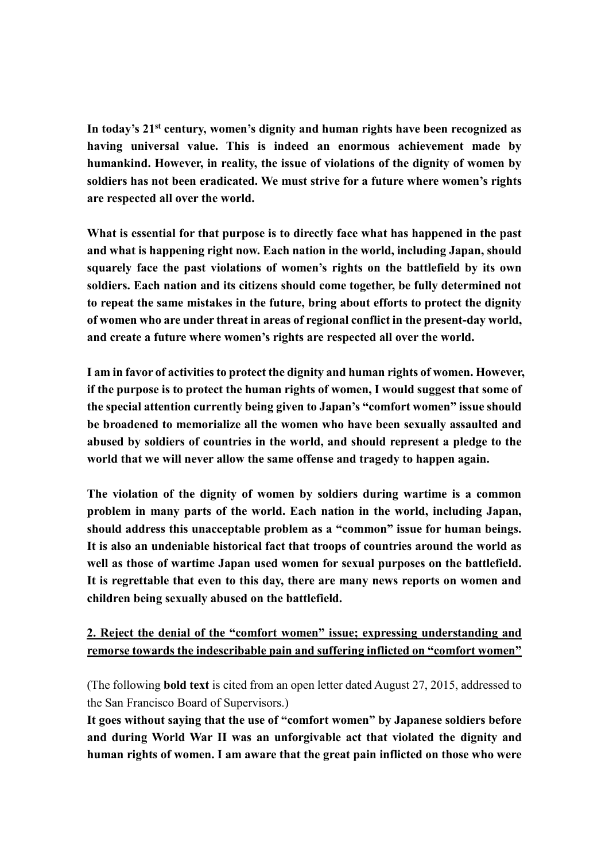**In today's 21st century, women's dignity and human rights have been recognized as having universal value. This is indeed an enormous achievement made by humankind. However, in reality, the issue of violations of the dignity of women by soldiers has not been eradicated. We must strive for a future where women's rights are respected all over the world.** 

**What is essential for that purpose is to directly face what has happened in the past and what is happening right now. Each nation in the world, including Japan, should squarely face the past violations of women's rights on the battlefield by its own soldiers. Each nation and its citizens should come together, be fully determined not to repeat the same mistakes in the future, bring about efforts to protect the dignity of women who are under threat in areas of regional conflict in the present-day world, and create a future where women's rights are respected all over the world.** 

**I am in favor of activities to protect the dignity and human rights of women. However, if the purpose is to protect the human rights of women, I would suggest that some of the special attention currently being given to Japan's "comfort women" issue should be broadened to memorialize all the women who have been sexually assaulted and abused by soldiers of countries in the world, and should represent a pledge to the world that we will never allow the same offense and tragedy to happen again.** 

**The violation of the dignity of women by soldiers during wartime is a common problem in many parts of the world. Each nation in the world, including Japan, should address this unacceptable problem as a "common" issue for human beings. It is also an undeniable historical fact that troops of countries around the world as well as those of wartime Japan used women for sexual purposes on the battlefield. It is regrettable that even to this day, there are many news reports on women and children being sexually abused on the battlefield.** 

### **2. Reject the denial of the "comfort women" issue; expressing understanding and remorse towards the indescribable pain and suffering inflicted on "comfort women"**

(The following **bold text** is cited from an open letter dated August 27, 2015, addressed to the San Francisco Board of Supervisors.)

**It goes without saying that the use of "comfort women" by Japanese soldiers before and during World War II was an unforgivable act that violated the dignity and human rights of women. I am aware that the great pain inflicted on those who were**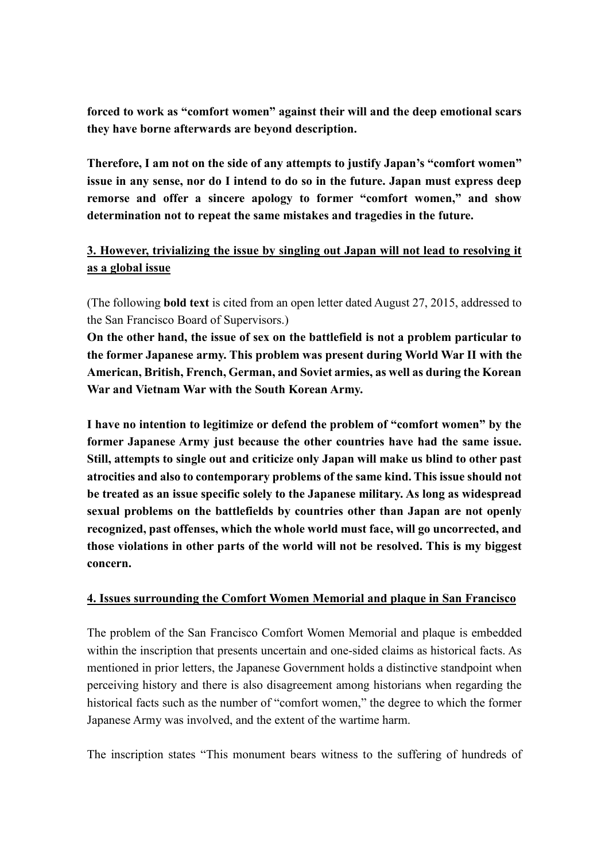**forced to work as "comfort women" against their will and the deep emotional scars they have borne afterwards are beyond description.** 

**Therefore, I am not on the side of any attempts to justify Japan's "comfort women" issue in any sense, nor do I intend to do so in the future. Japan must express deep remorse and offer a sincere apology to former "comfort women," and show determination not to repeat the same mistakes and tragedies in the future.** 

# **3. However, trivializing the issue by singling out Japan will not lead to resolving it as a global issue**

(The following **bold text** is cited from an open letter dated August 27, 2015, addressed to the San Francisco Board of Supervisors.)

**On the other hand, the issue of sex on the battlefield is not a problem particular to the former Japanese army. This problem was present during World War II with the American, British, French, German, and Soviet armies, as well as during the Korean War and Vietnam War with the South Korean Army.** 

**I have no intention to legitimize or defend the problem of "comfort women" by the former Japanese Army just because the other countries have had the same issue. Still, attempts to single out and criticize only Japan will make us blind to other past atrocities and also to contemporary problems of the same kind. This issue should not be treated as an issue specific solely to the Japanese military. As long as widespread sexual problems on the battlefields by countries other than Japan are not openly recognized, past offenses, which the whole world must face, will go uncorrected, and those violations in other parts of the world will not be resolved. This is my biggest concern.**

#### **4. Issues surrounding the Comfort Women Memorial and plaque in San Francisco**

The problem of the San Francisco Comfort Women Memorial and plaque is embedded within the inscription that presents uncertain and one-sided claims as historical facts. As mentioned in prior letters, the Japanese Government holds a distinctive standpoint when perceiving history and there is also disagreement among historians when regarding the historical facts such as the number of "comfort women," the degree to which the former Japanese Army was involved, and the extent of the wartime harm.

The inscription states "This monument bears witness to the suffering of hundreds of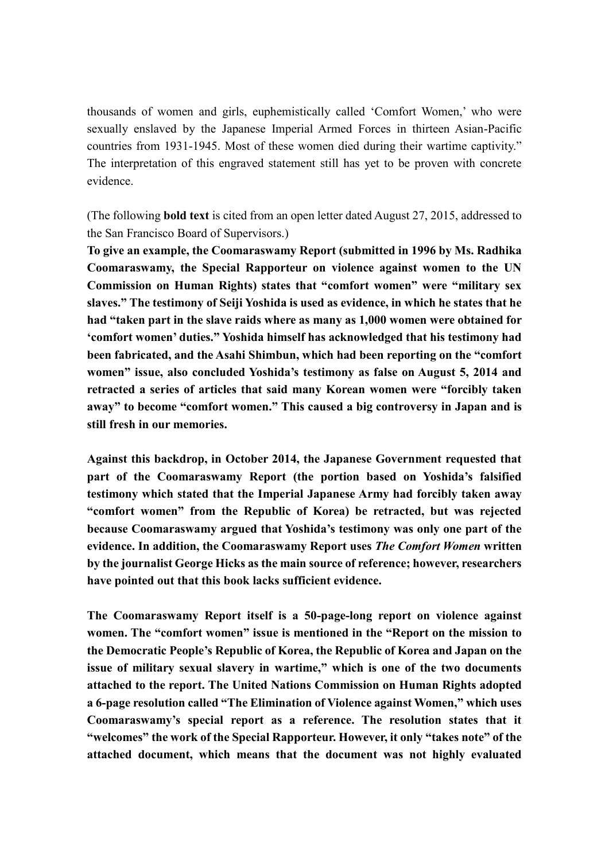thousands of women and girls, euphemistically called 'Comfort Women,' who were sexually enslaved by the Japanese Imperial Armed Forces in thirteen Asian-Pacific countries from 1931-1945. Most of these women died during their wartime captivity." The interpretation of this engraved statement still has yet to be proven with concrete evidence.

(The following **bold text** is cited from an open letter dated August 27, 2015, addressed to the San Francisco Board of Supervisors.)

**To give an example, the Coomaraswamy Report (submitted in 1996 by Ms. Radhika Coomaraswamy, the Special Rapporteur on violence against women to the UN Commission on Human Rights) states that "comfort women" were "military sex slaves." The testimony of Seiji Yoshida is used as evidence, in which he states that he had "taken part in the slave raids where as many as 1,000 women were obtained for 'comfort women' duties." Yoshida himself has acknowledged that his testimony had been fabricated, and the Asahi Shimbun, which had been reporting on the "comfort women" issue, also concluded Yoshida's testimony as false on August 5, 2014 and retracted a series of articles that said many Korean women were "forcibly taken away" to become "comfort women." This caused a big controversy in Japan and is still fresh in our memories.** 

**Against this backdrop, in October 2014, the Japanese Government requested that part of the Coomaraswamy Report (the portion based on Yoshida's falsified testimony which stated that the Imperial Japanese Army had forcibly taken away "comfort women" from the Republic of Korea) be retracted, but was rejected because Coomaraswamy argued that Yoshida's testimony was only one part of the evidence. In addition, the Coomaraswamy Report uses** *The Comfort Women* **written by the journalist George Hicks as the main source of reference; however, researchers have pointed out that this book lacks sufficient evidence.**

**The Coomaraswamy Report itself is a 50-page-long report on violence against women. The "comfort women" issue is mentioned in the "Report on the mission to the Democratic People's Republic of Korea, the Republic of Korea and Japan on the issue of military sexual slavery in wartime," which is one of the two documents attached to the report. The United Nations Commission on Human Rights adopted a 6-page resolution called "The Elimination of Violence against Women," which uses Coomaraswamy's special report as a reference. The resolution states that it "welcomes" the work of the Special Rapporteur. However, it only "takes note" of the attached document, which means that the document was not highly evaluated**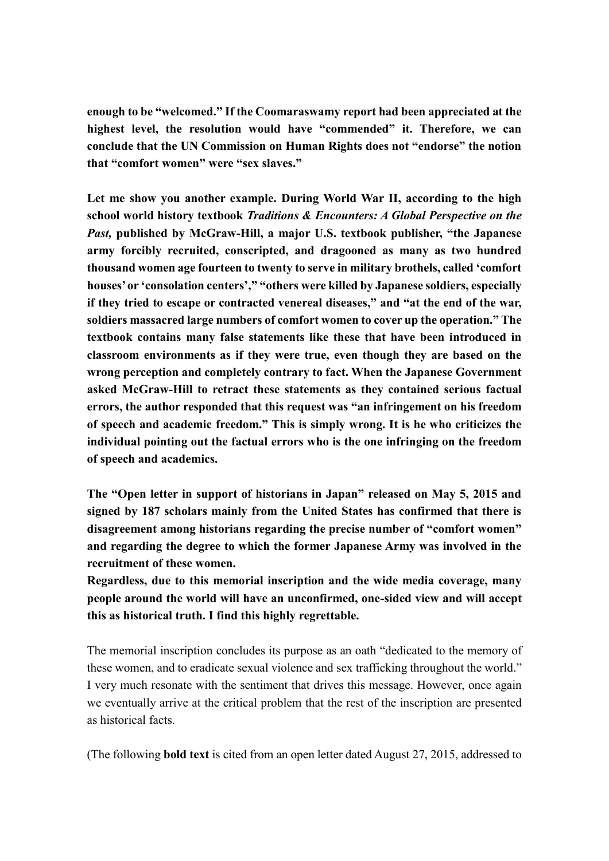**enough to be "welcomed." If the Coomaraswamy report had been appreciated at the highest level, the resolution would have "commended" it. Therefore, we can conclude that the UN Commission on Human Rights does not "endorse" the notion that "comfort women" were "sex slaves."**

**Let me show you another example. During World War II, according to the high school world history textbook** *Traditions & Encounters: A Global Perspective on the Past,* **published by McGraw-Hill, a major U.S. textbook publisher, "the Japanese army forcibly recruited, conscripted, and dragooned as many as two hundred thousand women age fourteen to twenty to serve in military brothels, called 'comfort houses' or 'consolation centers'," "others were killed by Japanese soldiers, especially if they tried to escape or contracted venereal diseases," and "at the end of the war, soldiers massacred large numbers of comfort women to cover up the operation." The textbook contains many false statements like these that have been introduced in classroom environments as if they were true, even though they are based on the wrong perception and completely contrary to fact. When the Japanese Government asked McGraw-Hill to retract these statements as they contained serious factual errors, the author responded that this request was "an infringement on his freedom of speech and academic freedom." This is simply wrong. It is he who criticizes the individual pointing out the factual errors who is the one infringing on the freedom of speech and academics.** 

**The "Open letter in support of historians in Japan" released on May 5, 2015 and signed by 187 scholars mainly from the United States has confirmed that there is disagreement among historians regarding the precise number of "comfort women" and regarding the degree to which the former Japanese Army was involved in the recruitment of these women.**

**Regardless, due to this memorial inscription and the wide media coverage, many people around the world will have an unconfirmed, one-sided view and will accept this as historical truth. I find this highly regrettable.**

The memorial inscription concludes its purpose as an oath "dedicated to the memory of these women, and to eradicate sexual violence and sex trafficking throughout the world." I very much resonate with the sentiment that drives this message. However, once again we eventually arrive at the critical problem that the rest of the inscription are presented as historical facts.

(The following **bold text** is cited from an open letter dated August 27, 2015, addressed to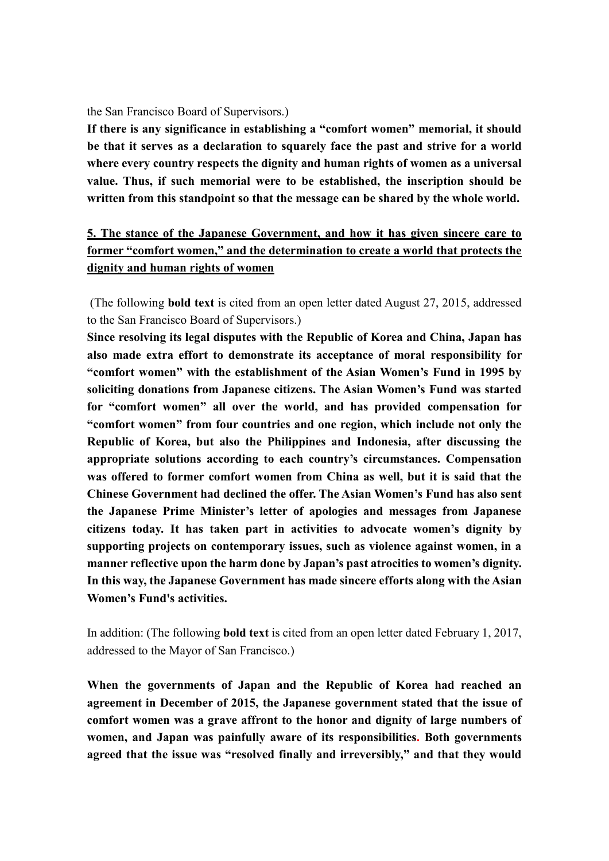the San Francisco Board of Supervisors.)

**If there is any significance in establishing a "comfort women" memorial, it should be that it serves as a declaration to squarely face the past and strive for a world where every country respects the dignity and human rights of women as a universal value. Thus, if such memorial were to be established, the inscription should be written from this standpoint so that the message can be shared by the whole world.**

# **5. The stance of the Japanese Government, and how it has given sincere care to former "comfort women," and the determination to create a world that protects the dignity and human rights of women**

(The following **bold text** is cited from an open letter dated August 27, 2015, addressed to the San Francisco Board of Supervisors.)

**Since resolving its legal disputes with the Republic of Korea and China, Japan has also made extra effort to demonstrate its acceptance of moral responsibility for "comfort women" with the establishment of the Asian Women's Fund in 1995 by soliciting donations from Japanese citizens. The Asian Women's Fund was started for "comfort women" all over the world, and has provided compensation for "comfort women" from four countries and one region, which include not only the Republic of Korea, but also the Philippines and Indonesia, after discussing the appropriate solutions according to each country's circumstances. Compensation was offered to former comfort women from China as well, but it is said that the Chinese Government had declined the offer. The Asian Women's Fund has also sent the Japanese Prime Minister's letter of apologies and messages from Japanese citizens today. It has taken part in activities to advocate women's dignity by supporting projects on contemporary issues, such as violence against women, in a manner reflective upon the harm done by Japan's past atrocities to women's dignity. In this way, the Japanese Government has made sincere efforts along with the Asian Women's Fund's activities.**

In addition: (The following **bold text** is cited from an open letter dated February 1, 2017, addressed to the Mayor of San Francisco.)

**When the governments of Japan and the Republic of Korea had reached an agreement in December of 2015, the Japanese government stated that the issue of comfort women was a grave affront to the honor and dignity of large numbers of women, and Japan was painfully aware of its responsibilities. Both governments agreed that the issue was "resolved finally and irreversibly," and that they would**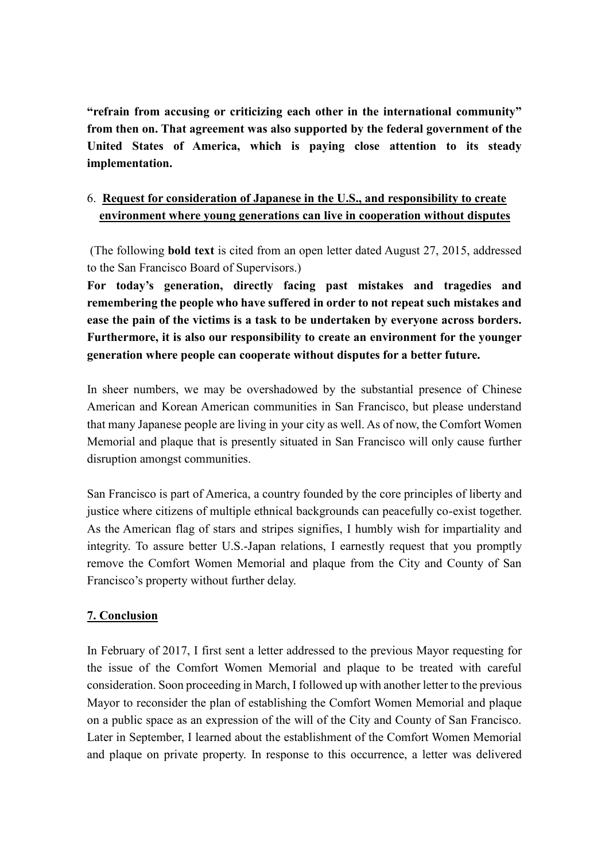**"refrain from accusing or criticizing each other in the international community" from then on. That agreement was also supported by the federal government of the United States of America, which is paying close attention to its steady implementation.**

# 6. **Request for consideration of Japanese in the U.S., and responsibility to create environment where young generations can live in cooperation without disputes**

(The following **bold text** is cited from an open letter dated August 27, 2015, addressed to the San Francisco Board of Supervisors.)

**For today's generation, directly facing past mistakes and tragedies and remembering the people who have suffered in order to not repeat such mistakes and ease the pain of the victims is a task to be undertaken by everyone across borders. Furthermore, it is also our responsibility to create an environment for the younger generation where people can cooperate without disputes for a better future.**

In sheer numbers, we may be overshadowed by the substantial presence of Chinese American and Korean American communities in San Francisco, but please understand that many Japanese people are living in your city as well. As of now, the Comfort Women Memorial and plaque that is presently situated in San Francisco will only cause further disruption amongst communities.

San Francisco is part of America, a country founded by the core principles of liberty and justice where citizens of multiple ethnical backgrounds can peacefully co-exist together. As the American flag of stars and stripes signifies, I humbly wish for impartiality and integrity. To assure better U.S.-Japan relations, I earnestly request that you promptly remove the Comfort Women Memorial and plaque from the City and County of San Francisco's property without further delay.

#### **7. Conclusion**

In February of 2017, I first sent a letter addressed to the previous Mayor requesting for the issue of the Comfort Women Memorial and plaque to be treated with careful consideration. Soon proceeding in March, I followed up with another letter to the previous Mayor to reconsider the plan of establishing the Comfort Women Memorial and plaque on a public space as an expression of the will of the City and County of San Francisco. Later in September, I learned about the establishment of the Comfort Women Memorial and plaque on private property. In response to this occurrence, a letter was delivered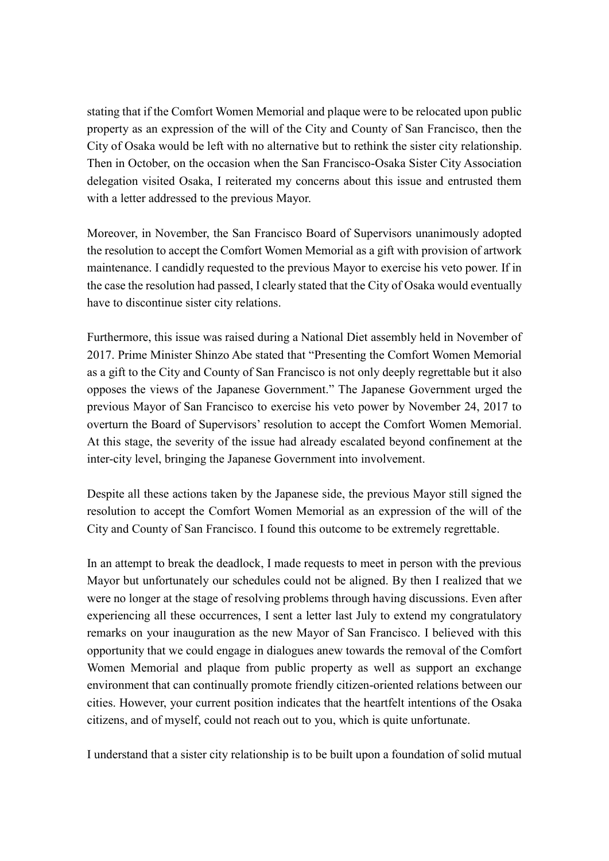stating that if the Comfort Women Memorial and plaque were to be relocated upon public property as an expression of the will of the City and County of San Francisco, then the City of Osaka would be left with no alternative but to rethink the sister city relationship. Then in October, on the occasion when the San Francisco-Osaka Sister City Association delegation visited Osaka, I reiterated my concerns about this issue and entrusted them with a letter addressed to the previous Mayor.

Moreover, in November, the San Francisco Board of Supervisors unanimously adopted the resolution to accept the Comfort Women Memorial as a gift with provision of artwork maintenance. I candidly requested to the previous Mayor to exercise his veto power. If in the case the resolution had passed, I clearly stated that the City of Osaka would eventually have to discontinue sister city relations.

Furthermore, this issue was raised during a National Diet assembly held in November of 2017. Prime Minister Shinzo Abe stated that "Presenting the Comfort Women Memorial as a gift to the City and County of San Francisco is not only deeply regrettable but it also opposes the views of the Japanese Government." The Japanese Government urged the previous Mayor of San Francisco to exercise his veto power by November 24, 2017 to overturn the Board of Supervisors' resolution to accept the Comfort Women Memorial. At this stage, the severity of the issue had already escalated beyond confinement at the inter-city level, bringing the Japanese Government into involvement.

Despite all these actions taken by the Japanese side, the previous Mayor still signed the resolution to accept the Comfort Women Memorial as an expression of the will of the City and County of San Francisco. I found this outcome to be extremely regrettable.

In an attempt to break the deadlock, I made requests to meet in person with the previous Mayor but unfortunately our schedules could not be aligned. By then I realized that we were no longer at the stage of resolving problems through having discussions. Even after experiencing all these occurrences, I sent a letter last July to extend my congratulatory remarks on your inauguration as the new Mayor of San Francisco. I believed with this opportunity that we could engage in dialogues anew towards the removal of the Comfort Women Memorial and plaque from public property as well as support an exchange environment that can continually promote friendly citizen-oriented relations between our cities. However, your current position indicates that the heartfelt intentions of the Osaka citizens, and of myself, could not reach out to you, which is quite unfortunate.

I understand that a sister city relationship is to be built upon a foundation of solid mutual